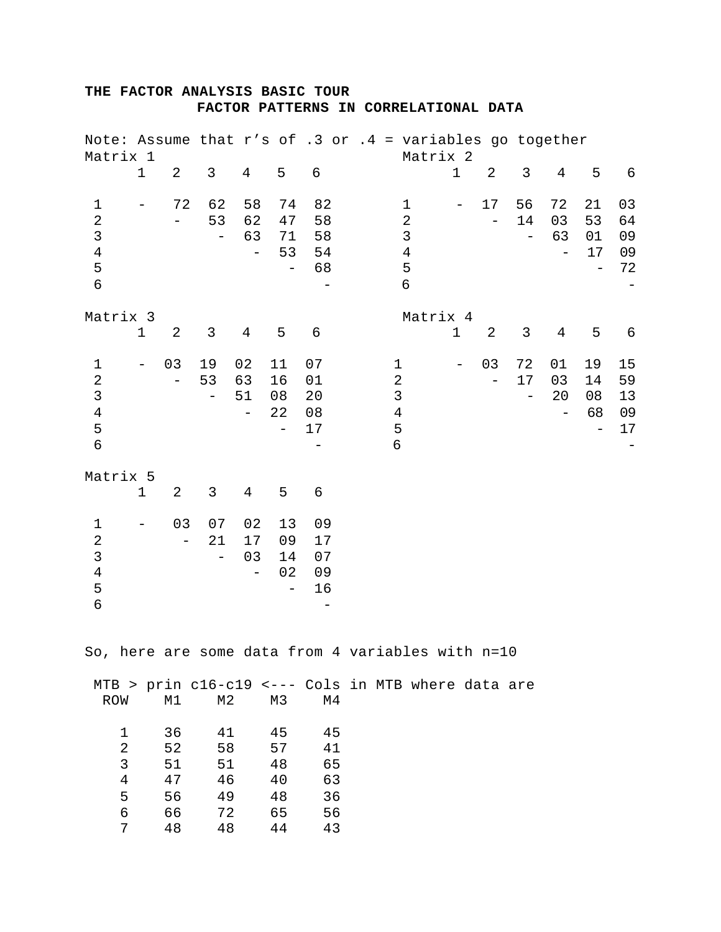## **THE FACTOR ANALYSIS BASIC TOUR FACTOR PATTERNS IN CORRELATIONAL DATA**

| Matrix 1                                                                           |                                                  |                                  |                                      |                                     |                                           | Note: Assume that $r's$ of .3 or .4 = variables go together |                                                                                    | Matrix 2 |                   |                         |                                      |                |                                                  |                                                        |
|------------------------------------------------------------------------------------|--------------------------------------------------|----------------------------------|--------------------------------------|-------------------------------------|-------------------------------------------|-------------------------------------------------------------|------------------------------------------------------------------------------------|----------|-------------------|-------------------------|--------------------------------------|----------------|--------------------------------------------------|--------------------------------------------------------|
|                                                                                    | $\mathbf 1$                                      | $\overline{2}$                   | $\mathsf{3}$                         | $\overline{4}$                      | 5                                         | 6                                                           |                                                                                    |          | $1\,$             | $\overline{2}$          | $\mathfrak{Z}$                       | $\overline{4}$ | 5                                                | $\epsilon$                                             |
| $\mathbf{1}$<br>$\overline{2}$<br>$\mathfrak{Z}$<br>$\bf 4$<br>5<br>$\overline{6}$ | $\qquad \qquad -$                                | 72                               | 62<br>53<br>$\qquad \qquad -$        | 58<br>62<br>63<br>$\qquad \qquad -$ | 74<br>47<br>71<br>53<br>$\qquad \qquad -$ | 82<br>58<br>58<br>54<br>68                                  | $\mathbf 1$<br>$\overline{2}$<br>$\mathsf{3}$<br>$\overline{4}$<br>5<br>$\epsilon$ |          | $\qquad \qquad -$ | 17                      | 56<br>14<br>-                        | 72<br>03<br>63 | 21<br>53<br>01<br>17<br>$\overline{\phantom{0}}$ | 03<br>64<br>09<br>09<br>72<br>$\overline{\phantom{m}}$ |
| Matrix 3                                                                           | 1                                                | 2                                | $\mathfrak{Z}$                       | 4                                   | 5                                         | $\epsilon$                                                  |                                                                                    | Matrix 4 | $\mathbf 1$       | 2                       | 3                                    | $\overline{4}$ | 5                                                | 6                                                      |
| $1\,$<br>$\sqrt{2}$<br>$\mathsf{3}$<br>$\bf 4$<br>5<br>$\epsilon$                  | $\overline{\phantom{m}}$                         | 03<br>$\qquad \qquad -$          | 19<br>53<br>$\qquad \qquad -$        | 02<br>63<br>51<br>$\qquad \qquad -$ | 11<br>16<br>08<br>22<br>$\qquad \qquad -$ | 07<br>01<br>20<br>08<br>17                                  | 1<br>$\overline{c}$<br>$\mathfrak{Z}$<br>$\,4$<br>5<br>6                           |          | $\qquad \qquad -$ | 03<br>$\qquad \qquad -$ | 72<br>17<br>$\overline{\phantom{0}}$ | 01<br>03<br>20 | 19<br>14<br>08<br>68<br>$\overline{\phantom{0}}$ | 15<br>59<br>13<br>09<br>17                             |
| Matrix 5                                                                           | $\mathbf 1$                                      | $\overline{c}$                   | 3                                    | $\overline{4}$                      | 5                                         | 6                                                           |                                                                                    |          |                   |                         |                                      |                |                                                  |                                                        |
| $\mathbf 1$<br>$\overline{2}$<br>$\mathsf 3$<br>$\bf 4$<br>5<br>6                  | $\qquad \qquad -$                                | 03<br>$\overline{\phantom{0}}$   | 07<br>21<br>$\overline{\phantom{m}}$ | 02<br>17<br>03<br>$\qquad \qquad -$ | 13<br>09<br>14<br>02<br>$\qquad \qquad -$ | 09<br>17<br>07<br>09<br>16                                  |                                                                                    |          |                   |                         |                                      |                |                                                  |                                                        |
|                                                                                    |                                                  |                                  |                                      |                                     |                                           | So, here are some data from 4 variables with n=10           |                                                                                    |          |                   |                         |                                      |                |                                                  |                                                        |
| ROW                                                                                |                                                  | M1                               | M2                                   |                                     | M3                                        | MTB > prin c16-c19 <--- Cols in MTB where data are<br>M4    |                                                                                    |          |                   |                         |                                      |                |                                                  |                                                        |
|                                                                                    | 1<br>$\sqrt{2}$<br>3<br>$\overline{4}$<br>5<br>6 | 36<br>52<br>51<br>47<br>56<br>66 | 41<br>58<br>51<br>46<br>49<br>72     |                                     | 45<br>57<br>48<br>40<br>48<br>65          | 45<br>41<br>65<br>63<br>36<br>56                            |                                                                                    |          |                   |                         |                                      |                |                                                  |                                                        |

7 48 48 44 43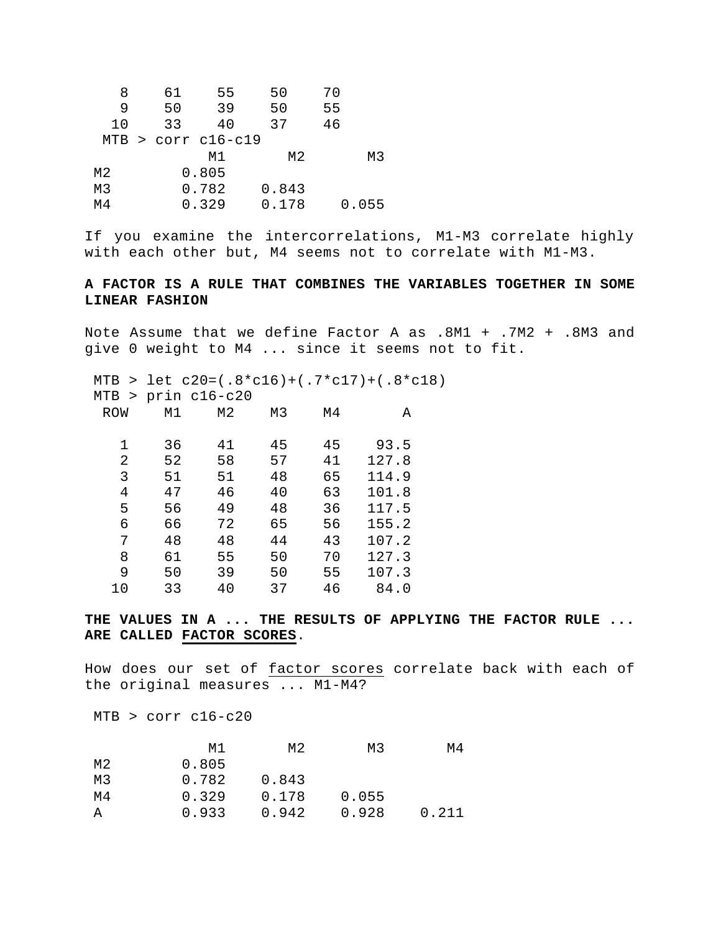| 8  | 61                   | 55    | 50    | 70 |       |
|----|----------------------|-------|-------|----|-------|
| 9  | 50                   | 39    | 50    | 55 |       |
| 10 | 33                   | 40    | 37    | 46 |       |
|    | $MTB > corr$ cl6-cl9 |       |       |    |       |
|    |                      | M1    | M2    |    | M3    |
| M2 |                      | 0.805 |       |    |       |
| М3 |                      | 0.782 | 0.843 |    |       |
| M4 |                      | 0.329 | 0.178 |    | 0.055 |

If you examine the intercorrelations, M1-M3 correlate highly with each other but, M4 seems not to correlate with M1-M3.

## **A FACTOR IS A RULE THAT COMBINES THE VARIABLES TOGETHER IN SOME LINEAR FASHION**

Note Assume that we define Factor A as .8M1 + .7M2 + .8M3 and give 0 weight to M4 ... since it seems not to fit.

 MTB > let c20=(.8\*c16)+(.7\*c17)+(.8\*c18) MTB > prin c16-c20 ROW M1 M2 M3 M4 A 1 36 41 45 45 93.5 2 52 58 57 41 127.8 3 51 51 48 65 114.9 4 47 46 40 63 101.8 5 56 49 48 36 117.5 6 66 72 65 56 155.2 7 48 48 44 43 107.2 8 61 55 50 70 127.3 9 50 39 50 55 107.3 10 33 40 37 46 84.0

**THE VALUES IN A ... THE RESULTS OF APPLYING THE FACTOR RULE ... ARE CALLED FACTOR SCORES**.

How does our set of factor scores correlate back with each of the original measures ... M1-M4?

MTB > corr c16-c20

|    | M1    | M2    | M3    | M4    |
|----|-------|-------|-------|-------|
| M2 | 0.805 |       |       |       |
| M3 | 0.782 | 0.843 |       |       |
| M4 | 0.329 | 0.178 | 0.055 |       |
| А  | 0.933 | 0.942 | 0.928 | 0.211 |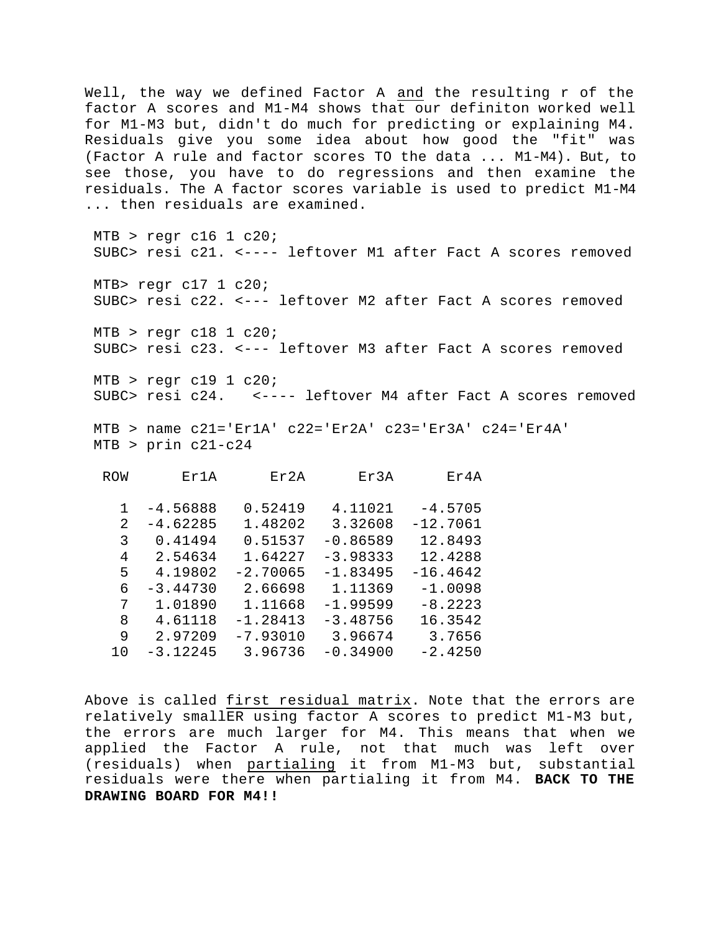Well, the way we defined Factor A and the resulting r of the factor A scores and M1-M4 shows that our definiton worked well for M1-M3 but, didn't do much for predicting or explaining M4. Residuals give you some idea about how good the "fit" was (Factor A rule and factor scores TO the data ... M1-M4). But, to see those, you have to do regressions and then examine the residuals. The A factor scores variable is used to predict M1-M4 ... then residuals are examined.

 $MTB$  > regr c16 1 c20; SUBC> resi c21. <---- leftover M1 after Fact A scores removed MTB> regr c17 1 c20; SUBC> resi c22. <--- leftover M2 after Fact A scores removed  $MTB$  > regr c18 1 c20; SUBC> resi c23. <--- leftover M3 after Fact A scores removed  $MTB$  > regr c19 1 c20; SUBC> resi c24. <---- leftover M4 after Fact A scores removed

MTB > name  $c21 = 'Er1A'$   $c22 = 'Er2A'$   $c23 = 'Er3A'$   $c24 = 'Er4A'$ MTB > prin c21-c24

| <b>ROW</b> | Er1A       | Er2A       | Er3A       | $E \text{r} 4A$ |
|------------|------------|------------|------------|-----------------|
|            |            |            |            |                 |
| 1          | $-4.56888$ | 0.52419    | 4.11021    | $-4.5705$       |
| 2          | $-4.62285$ | 1.48202    | 3.32608    | $-12.7061$      |
| 3          | 0.41494    | 0.51537    | $-0.86589$ | 12.8493         |
| 4          | 2.54634    | 1.64227    | $-3.98333$ | 12.4288         |
| 5          | 4.19802    | $-2.70065$ | $-1.83495$ | $-16.4642$      |
| 6          | $-3.44730$ | 2.66698    | 1.11369    | $-1.0098$       |
| 7          | 1.01890    | 1.11668    | $-1.99599$ | $-8.2223$       |
| 8          | 4.61118    | $-1.28413$ | $-3.48756$ | 16.3542         |
| 9          | 2.97209    | $-7.93010$ | 3.96674    | 3.7656          |
| 10         | $-3.12245$ | 3.96736    | $-0.34900$ | $-2.4250$       |

Above is called first residual matrix. Note that the errors are relatively smallER using factor A scores to predict M1-M3 but, the errors are much larger for M4. This means that when we applied the Factor A rule, not that much was left over (residuals) when partialing it from M1-M3 but, substantial residuals were there when partialing it from M4. **BACK TO THE DRAWING BOARD FOR M4!!**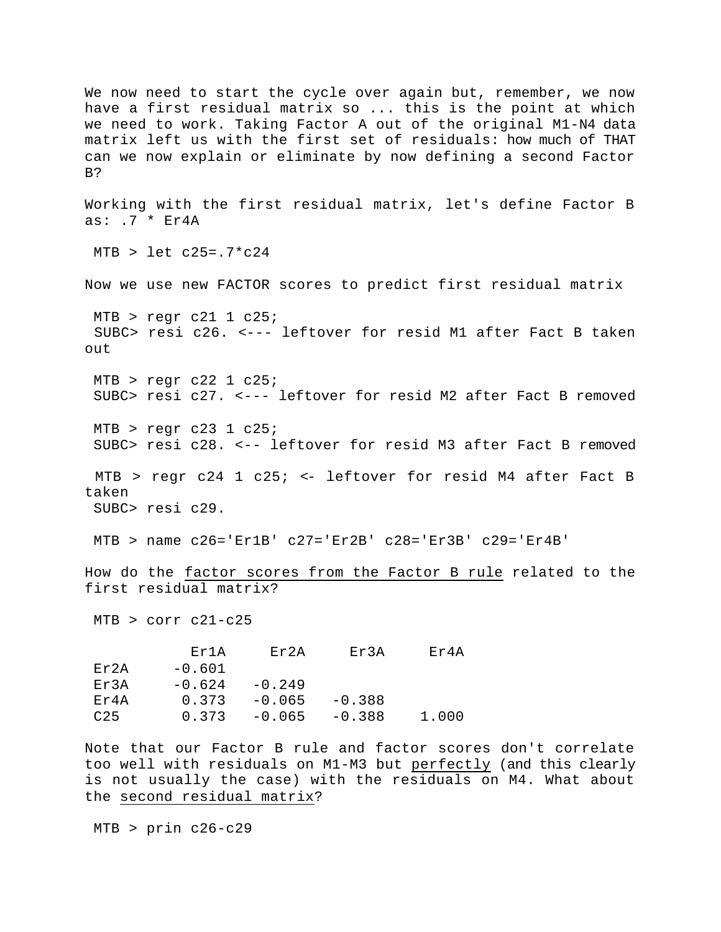We now need to start the cycle over again but, remember, we now have a first residual matrix so ... this is the point at which we need to work. Taking Factor A out of the original M1-N4 data matrix left us with the first set of residuals: how much of THAT can we now explain or eliminate by now defining a second Factor B? Working with the first residual matrix, let's define Factor B as: .7 \* Er4A  $MTB >$  let c25=.7\*c24 Now we use new FACTOR scores to predict first residual matrix  $MTB$  > regr c21 1 c25; SUBC> resi c26. <--- leftover for resid M1 after Fact B taken out  $MTB$  > regr c22 1 c25; SUBC> resi c27. <--- leftover for resid M2 after Fact B removed  $MTB$  > reqr c23 1 c25; SUBC> resi c28. <-- leftover for resid M3 after Fact B removed MTB > regr c24 1 c25; <- leftover for resid M4 after Fact B taken SUBC> resi c29. MTB > name c26='Er1B' c27='Er2B' c28='Er3B' c29='Er4B' How do the factor scores from the Factor B rule related to the first residual matrix? MTB > corr c21-c25 Er1A Er2A Er3A Er4A  $Er2A -0.601$ Er3A  $-0.624 -0.249$ Er4A  $0.373 -0.065 -0.388$  C25 0.373 -0.065 -0.388 1.000 Note that our Factor B rule and factor scores don't correlate

too well with residuals on M1-M3 but perfectly (and this clearly is not usually the case) with the residuals on M4. What about the second residual matrix?

MTB > prin c26-c29